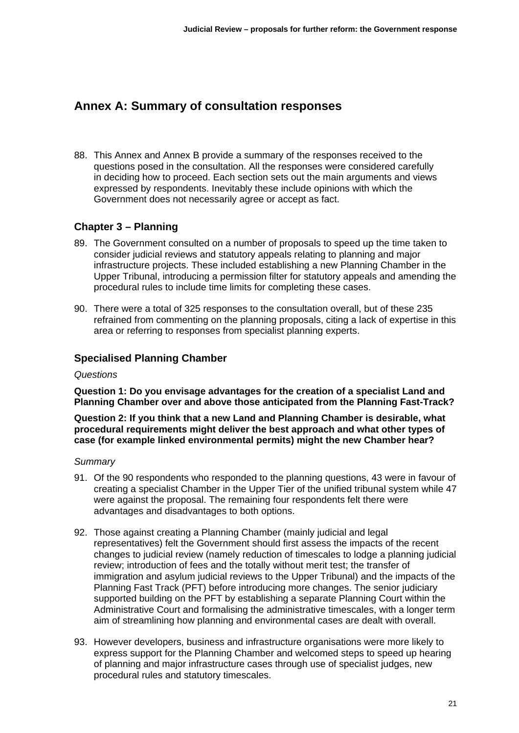# **Annex A: Summary of consultation responses**

88. This Annex and Annex B provide a summary of the responses received to the questions posed in the consultation. All the responses were considered carefully in deciding how to proceed. Each section sets out the main arguments and views expressed by respondents. Inevitably these include opinions with which the Government does not necessarily agree or accept as fact.

## **Chapter 3 – Planning**

- 89. The Government consulted on a number of proposals to speed up the time taken to consider judicial reviews and statutory appeals relating to planning and major infrastructure projects. These included establishing a new Planning Chamber in the Upper Tribunal, introducing a permission filter for statutory appeals and amending the procedural rules to include time limits for completing these cases.
- 90. There were a total of 325 responses to the consultation overall, but of these 235 refrained from commenting on the planning proposals, citing a lack of expertise in this area or referring to responses from specialist planning experts.

## **Specialised Planning Chamber**

### *Questions*

**Question 1: Do you envisage advantages for the creation of a specialist Land and Planning Chamber over and above those anticipated from the Planning Fast-Track?** 

**Question 2: If you think that a new Land and Planning Chamber is desirable, what procedural requirements might deliver the best approach and what other types of case (for example linked environmental permits) might the new Chamber hear?** 

- 91. Of the 90 respondents who responded to the planning questions, 43 were in favour of creating a specialist Chamber in the Upper Tier of the unified tribunal system while 47 were against the proposal. The remaining four respondents felt there were advantages and disadvantages to both options.
- 92. Those against creating a Planning Chamber (mainly judicial and legal representatives) felt the Government should first assess the impacts of the recent changes to judicial review (namely reduction of timescales to lodge a planning judicial review; introduction of fees and the totally without merit test; the transfer of immigration and asylum judicial reviews to the Upper Tribunal) and the impacts of the Planning Fast Track (PFT) before introducing more changes. The senior judiciary supported building on the PFT by establishing a separate Planning Court within the Administrative Court and formalising the administrative timescales, with a longer term aim of streamlining how planning and environmental cases are dealt with overall.
- 93. However developers, business and infrastructure organisations were more likely to express support for the Planning Chamber and welcomed steps to speed up hearing of planning and major infrastructure cases through use of specialist judges, new procedural rules and statutory timescales.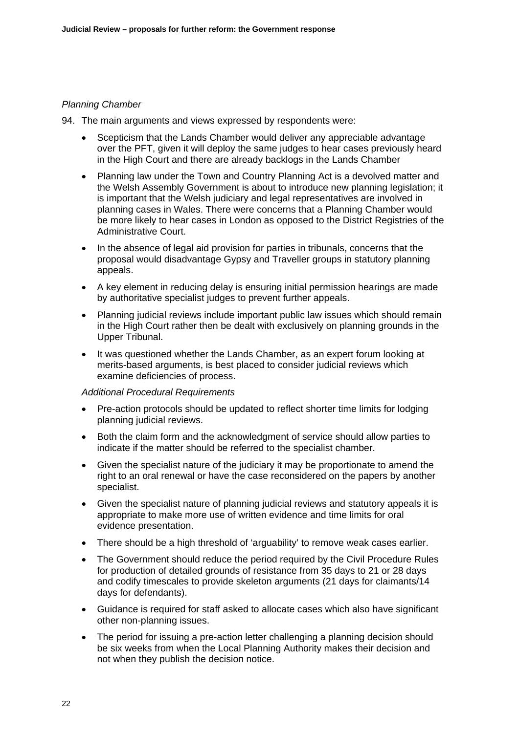### *Planning Chamber*

94. The main arguments and views expressed by respondents were:

- Scepticism that the Lands Chamber would deliver any appreciable advantage over the PFT, given it will deploy the same judges to hear cases previously heard in the High Court and there are already backlogs in the Lands Chamber
- Planning law under the Town and Country Planning Act is a devolved matter and the Welsh Assembly Government is about to introduce new planning legislation; it is important that the Welsh judiciary and legal representatives are involved in planning cases in Wales. There were concerns that a Planning Chamber would be more likely to hear cases in London as opposed to the District Registries of the Administrative Court.
- In the absence of legal aid provision for parties in tribunals, concerns that the proposal would disadvantage Gypsy and Traveller groups in statutory planning appeals.
- A key element in reducing delay is ensuring initial permission hearings are made by authoritative specialist judges to prevent further appeals.
- Planning judicial reviews include important public law issues which should remain in the High Court rather then be dealt with exclusively on planning grounds in the Upper Tribunal.
- It was questioned whether the Lands Chamber, as an expert forum looking at merits-based arguments, is best placed to consider judicial reviews which examine deficiencies of process.

### *Additional Procedural Requirements*

- Pre-action protocols should be updated to reflect shorter time limits for lodging planning judicial reviews.
- Both the claim form and the acknowledgment of service should allow parties to indicate if the matter should be referred to the specialist chamber.
- Given the specialist nature of the judiciary it may be proportionate to amend the right to an oral renewal or have the case reconsidered on the papers by another specialist.
- Given the specialist nature of planning judicial reviews and statutory appeals it is appropriate to make more use of written evidence and time limits for oral evidence presentation.
- There should be a high threshold of 'arguability' to remove weak cases earlier.
- The Government should reduce the period required by the Civil Procedure Rules for production of detailed grounds of resistance from 35 days to 21 or 28 days and codify timescales to provide skeleton arguments (21 days for claimants/14 days for defendants).
- Guidance is required for staff asked to allocate cases which also have significant other non-planning issues.
- The period for issuing a pre-action letter challenging a planning decision should be six weeks from when the Local Planning Authority makes their decision and not when they publish the decision notice.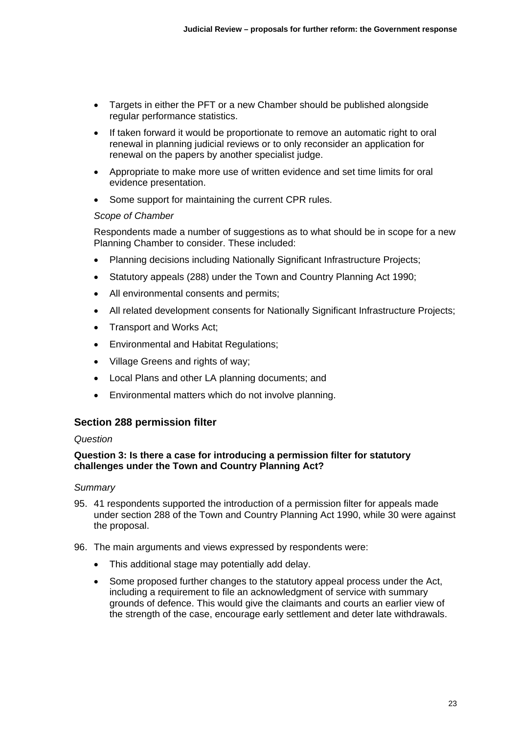- Targets in either the PFT or a new Chamber should be published alongside regular performance statistics.
- If taken forward it would be proportionate to remove an automatic right to oral renewal in planning judicial reviews or to only reconsider an application for renewal on the papers by another specialist judge.
- Appropriate to make more use of written evidence and set time limits for oral evidence presentation.
- Some support for maintaining the current CPR rules.

### *Scope of Chamber*

Respondents made a number of suggestions as to what should be in scope for a new Planning Chamber to consider. These included:

- Planning decisions including Nationally Significant Infrastructure Projects;
- Statutory appeals (288) under the Town and Country Planning Act 1990;
- All environmental consents and permits;
- All related development consents for Nationally Significant Infrastructure Projects;
- Transport and Works Act;
- Environmental and Habitat Regulations;
- Village Greens and rights of way;
- Local Plans and other LA planning documents; and
- Environmental matters which do not involve planning.

### **Section 288 permission filter**

### *Question*

### **Question 3: Is there a case for introducing a permission filter for statutory challenges under the Town and Country Planning Act?**

- 95. 41 respondents supported the introduction of a permission filter for appeals made under section 288 of the Town and Country Planning Act 1990, while 30 were against the proposal.
- 96. The main arguments and views expressed by respondents were:
	- This additional stage may potentially add delay.
	- Some proposed further changes to the statutory appeal process under the Act, including a requirement to file an acknowledgment of service with summary grounds of defence. This would give the claimants and courts an earlier view of the strength of the case, encourage early settlement and deter late withdrawals.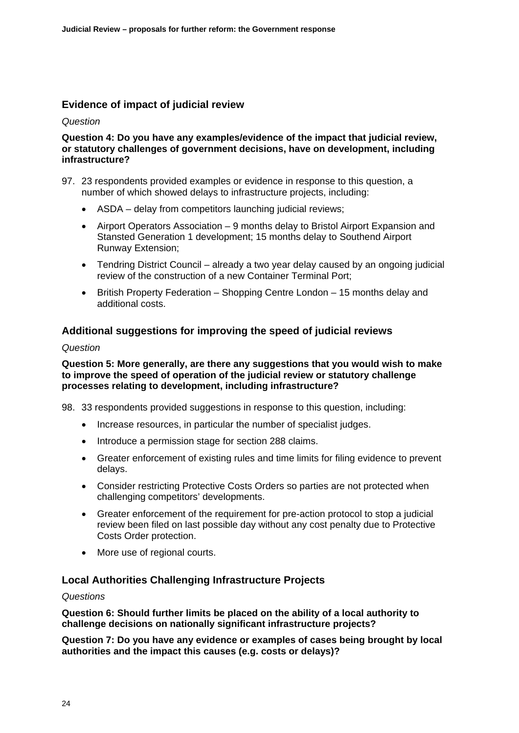## **Evidence of impact of judicial review**

*Question* 

### **Question 4: Do you have any examples/evidence of the impact that judicial review, or statutory challenges of government decisions, have on development, including infrastructure?**

- 97. 23 respondents provided examples or evidence in response to this question, a number of which showed delays to infrastructure projects, including:
	- ASDA delay from competitors launching judicial reviews;
	- Airport Operators Association 9 months delay to Bristol Airport Expansion and Stansted Generation 1 development; 15 months delay to Southend Airport Runway Extension;
	- Tendring District Council already a two year delay caused by an ongoing judicial review of the construction of a new Container Terminal Port;
	- British Property Federation Shopping Centre London 15 months delay and additional costs.

## **Additional suggestions for improving the speed of judicial reviews**

### *Question*

### **Question 5: More generally, are there any suggestions that you would wish to make to improve the speed of operation of the judicial review or statutory challenge processes relating to development, including infrastructure?**

98. 33 respondents provided suggestions in response to this question, including:

- Increase resources, in particular the number of specialist judges.
- Introduce a permission stage for section 288 claims.
- Greater enforcement of existing rules and time limits for filing evidence to prevent delays.
- Consider restricting Protective Costs Orders so parties are not protected when challenging competitors' developments.
- Greater enforcement of the requirement for pre-action protocol to stop a judicial review been filed on last possible day without any cost penalty due to Protective Costs Order protection.
- More use of regional courts.

### **Local Authorities Challenging Infrastructure Projects**

### *Questions*

**Question 6: Should further limits be placed on the ability of a local authority to challenge decisions on nationally significant infrastructure projects?** 

**Question 7: Do you have any evidence or examples of cases being brought by local authorities and the impact this causes (e.g. costs or delays)?**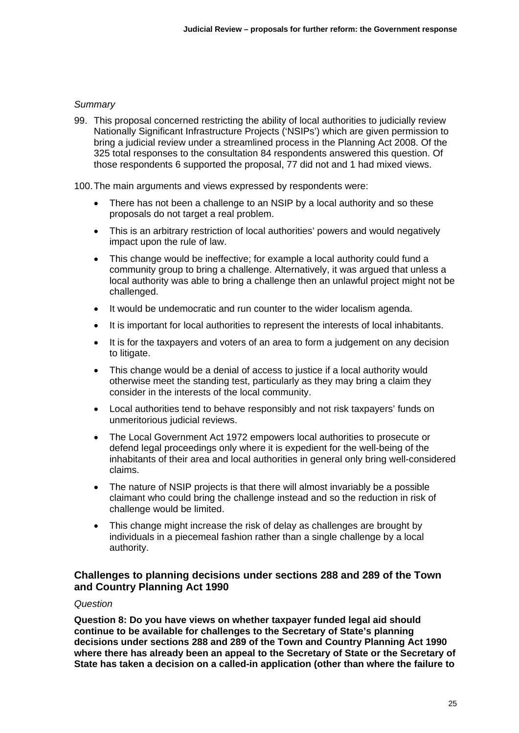### *Summary*

99. This proposal concerned restricting the ability of local authorities to judicially review Nationally Significant Infrastructure Projects ('NSIPs') which are given permission to bring a judicial review under a streamlined process in the Planning Act 2008. Of the 325 total responses to the consultation 84 respondents answered this question. Of those respondents 6 supported the proposal, 77 did not and 1 had mixed views.

100. The main arguments and views expressed by respondents were:

- There has not been a challenge to an NSIP by a local authority and so these proposals do not target a real problem.
- This is an arbitrary restriction of local authorities' powers and would negatively impact upon the rule of law.
- This change would be ineffective; for example a local authority could fund a community group to bring a challenge. Alternatively, it was argued that unless a local authority was able to bring a challenge then an unlawful project might not be challenged.
- It would be undemocratic and run counter to the wider localism agenda.
- It is important for local authorities to represent the interests of local inhabitants.
- It is for the taxpayers and voters of an area to form a judgement on any decision to litigate.
- This change would be a denial of access to justice if a local authority would otherwise meet the standing test, particularly as they may bring a claim they consider in the interests of the local community.
- Local authorities tend to behave responsibly and not risk taxpayers' funds on unmeritorious judicial reviews.
- The Local Government Act 1972 empowers local authorities to prosecute or defend legal proceedings only where it is expedient for the well-being of the inhabitants of their area and local authorities in general only bring well-considered claims.
- The nature of NSIP projects is that there will almost invariably be a possible claimant who could bring the challenge instead and so the reduction in risk of challenge would be limited.
- This change might increase the risk of delay as challenges are brought by individuals in a piecemeal fashion rather than a single challenge by a local authority.

### **Challenges to planning decisions under sections 288 and 289 of the Town and Country Planning Act 1990**

#### *Question*

**Question 8: Do you have views on whether taxpayer funded legal aid should continue to be available for challenges to the Secretary of State's planning decisions under sections 288 and 289 of the Town and Country Planning Act 1990 where there has already been an appeal to the Secretary of State or the Secretary of State has taken a decision on a called-in application (other than where the failure to**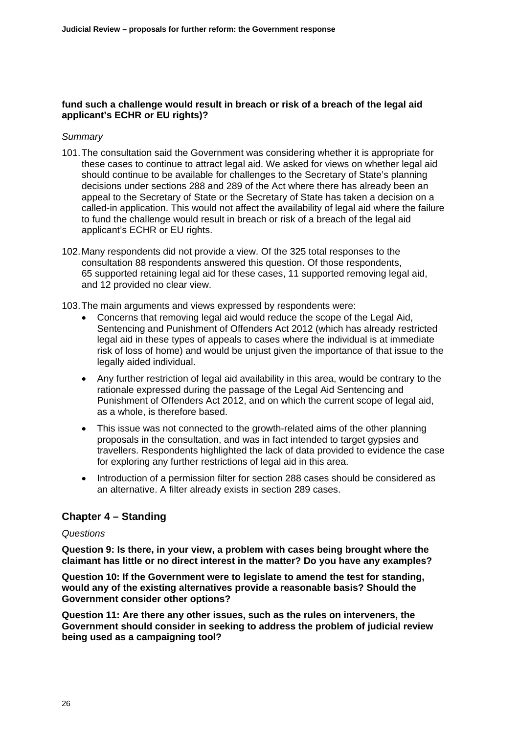### **fund such a challenge would result in breach or risk of a breach of the legal aid applicant's ECHR or EU rights)?**

### *Summary*

- 101. The consultation said the Government was considering whether it is appropriate for these cases to continue to attract legal aid. We asked for views on whether legal aid should continue to be available for challenges to the Secretary of State's planning decisions under sections 288 and 289 of the Act where there has already been an appeal to the Secretary of State or the Secretary of State has taken a decision on a called-in application. This would not affect the availability of legal aid where the failure to fund the challenge would result in breach or risk of a breach of the legal aid applicant's ECHR or EU rights.
- 102. Many respondents did not provide a view. Of the 325 total responses to the consultation 88 respondents answered this question. Of those respondents, 65 supported retaining legal aid for these cases, 11 supported removing legal aid, and 12 provided no clear view.

103. The main arguments and views expressed by respondents were:

- Concerns that removing legal aid would reduce the scope of the Legal Aid. Sentencing and Punishment of Offenders Act 2012 (which has already restricted legal aid in these types of appeals to cases where the individual is at immediate risk of loss of home) and would be unjust given the importance of that issue to the legally aided individual.
- Any further restriction of legal aid availability in this area, would be contrary to the rationale expressed during the passage of the Legal Aid Sentencing and Punishment of Offenders Act 2012, and on which the current scope of legal aid, as a whole, is therefore based.
- This issue was not connected to the growth-related aims of the other planning proposals in the consultation, and was in fact intended to target gypsies and travellers. Respondents highlighted the lack of data provided to evidence the case for exploring any further restrictions of legal aid in this area.
- Introduction of a permission filter for section 288 cases should be considered as an alternative. A filter already exists in section 289 cases.

### **Chapter 4 – Standing**

#### *Questions*

**Question 9: Is there, in your view, a problem with cases being brought where the claimant has little or no direct interest in the matter? Do you have any examples?** 

**Question 10: If the Government were to legislate to amend the test for standing, would any of the existing alternatives provide a reasonable basis? Should the Government consider other options?** 

**Question 11: Are there any other issues, such as the rules on interveners, the Government should consider in seeking to address the problem of judicial review being used as a campaigning tool?**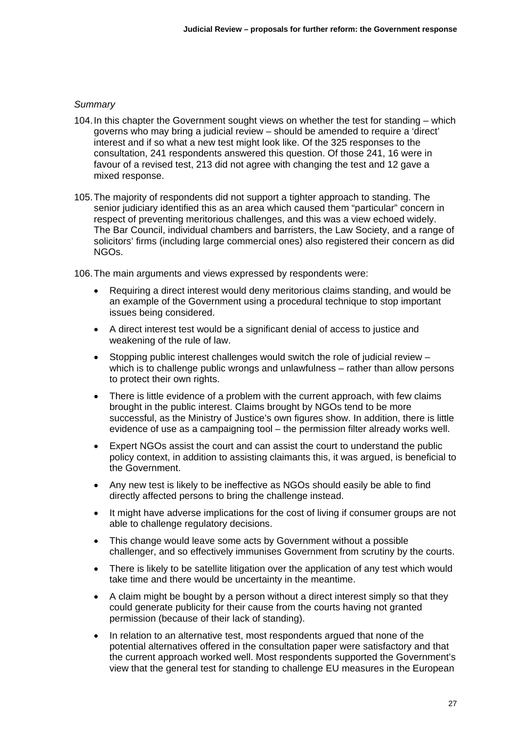### *Summary*

- 104. In this chapter the Government sought views on whether the test for standing which governs who may bring a judicial review – should be amended to require a 'direct' interest and if so what a new test might look like. Of the 325 responses to the consultation, 241 respondents answered this question. Of those 241, 16 were in favour of a revised test, 213 did not agree with changing the test and 12 gave a mixed response.
- 105. The majority of respondents did not support a tighter approach to standing. The senior judiciary identified this as an area which caused them "particular" concern in respect of preventing meritorious challenges, and this was a view echoed widely. The Bar Council, individual chambers and barristers, the Law Society, and a range of solicitors' firms (including large commercial ones) also registered their concern as did NGOs.

106. The main arguments and views expressed by respondents were:

- Requiring a direct interest would deny meritorious claims standing, and would be an example of the Government using a procedural technique to stop important issues being considered.
- A direct interest test would be a significant denial of access to justice and weakening of the rule of law.
- Stopping public interest challenges would switch the role of judicial review which is to challenge public wrongs and unlawfulness – rather than allow persons to protect their own rights.
- There is little evidence of a problem with the current approach, with few claims brought in the public interest. Claims brought by NGOs tend to be more successful, as the Ministry of Justice's own figures show. In addition, there is little evidence of use as a campaigning tool – the permission filter already works well.
- Expert NGOs assist the court and can assist the court to understand the public policy context, in addition to assisting claimants this, it was argued, is beneficial to the Government.
- Any new test is likely to be ineffective as NGOs should easily be able to find directly affected persons to bring the challenge instead.
- It might have adverse implications for the cost of living if consumer groups are not able to challenge regulatory decisions.
- This change would leave some acts by Government without a possible challenger, and so effectively immunises Government from scrutiny by the courts.
- There is likely to be satellite litigation over the application of any test which would take time and there would be uncertainty in the meantime.
- A claim might be bought by a person without a direct interest simply so that they could generate publicity for their cause from the courts having not granted permission (because of their lack of standing).
- In relation to an alternative test, most respondents argued that none of the potential alternatives offered in the consultation paper were satisfactory and that the current approach worked well. Most respondents supported the Government's view that the general test for standing to challenge EU measures in the European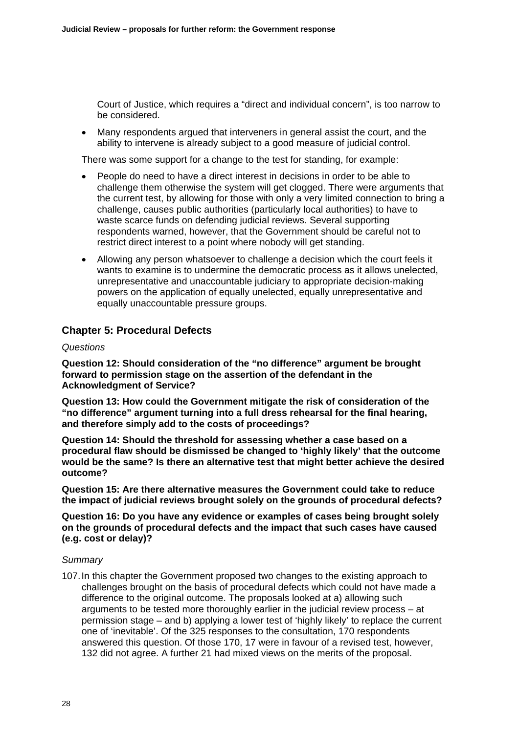Court of Justice, which requires a "direct and individual concern", is too narrow to be considered.

 Many respondents argued that interveners in general assist the court, and the ability to intervene is already subject to a good measure of judicial control.

There was some support for a change to the test for standing, for example:

- People do need to have a direct interest in decisions in order to be able to challenge them otherwise the system will get clogged. There were arguments that the current test, by allowing for those with only a very limited connection to bring a challenge, causes public authorities (particularly local authorities) to have to waste scarce funds on defending judicial reviews. Several supporting respondents warned, however, that the Government should be careful not to restrict direct interest to a point where nobody will get standing.
- Allowing any person whatsoever to challenge a decision which the court feels it wants to examine is to undermine the democratic process as it allows unelected, unrepresentative and unaccountable judiciary to appropriate decision-making powers on the application of equally unelected, equally unrepresentative and equally unaccountable pressure groups.

## **Chapter 5: Procedural Defects**

### *Questions*

**Question 12: Should consideration of the "no difference" argument be brought forward to permission stage on the assertion of the defendant in the Acknowledgment of Service?** 

**Question 13: How could the Government mitigate the risk of consideration of the "no difference" argument turning into a full dress rehearsal for the final hearing, and therefore simply add to the costs of proceedings?** 

**Question 14: Should the threshold for assessing whether a case based on a procedural flaw should be dismissed be changed to 'highly likely' that the outcome would be the same? Is there an alternative test that might better achieve the desired outcome?** 

**Question 15: Are there alternative measures the Government could take to reduce the impact of judicial reviews brought solely on the grounds of procedural defects?** 

**Question 16: Do you have any evidence or examples of cases being brought solely on the grounds of procedural defects and the impact that such cases have caused (e.g. cost or delay)?**

### *Summary*

107. In this chapter the Government proposed two changes to the existing approach to challenges brought on the basis of procedural defects which could not have made a difference to the original outcome. The proposals looked at a) allowing such arguments to be tested more thoroughly earlier in the judicial review process – at permission stage – and b) applying a lower test of 'highly likely' to replace the current one of 'inevitable'. Of the 325 responses to the consultation, 170 respondents answered this question. Of those 170, 17 were in favour of a revised test, however, 132 did not agree. A further 21 had mixed views on the merits of the proposal.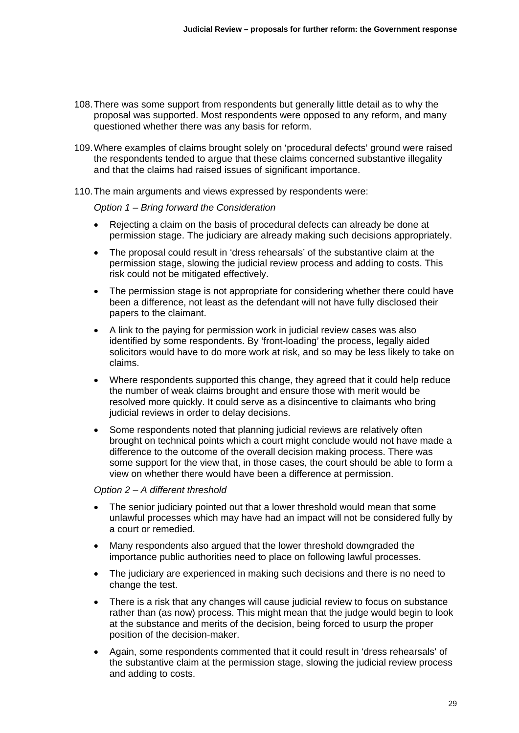- 108. There was some support from respondents but generally little detail as to why the proposal was supported. Most respondents were opposed to any reform, and many questioned whether there was any basis for reform.
- 109. Where examples of claims brought solely on 'procedural defects' ground were raised the respondents tended to argue that these claims concerned substantive illegality and that the claims had raised issues of significant importance.
- 110. The main arguments and views expressed by respondents were:

*Option 1 – Bring forward the Consideration* 

- Rejecting a claim on the basis of procedural defects can already be done at permission stage. The judiciary are already making such decisions appropriately.
- The proposal could result in 'dress rehearsals' of the substantive claim at the permission stage, slowing the judicial review process and adding to costs. This risk could not be mitigated effectively.
- The permission stage is not appropriate for considering whether there could have been a difference, not least as the defendant will not have fully disclosed their papers to the claimant.
- A link to the paying for permission work in judicial review cases was also identified by some respondents. By 'front-loading' the process, legally aided solicitors would have to do more work at risk, and so may be less likely to take on claims.
- Where respondents supported this change, they agreed that it could help reduce the number of weak claims brought and ensure those with merit would be resolved more quickly. It could serve as a disincentive to claimants who bring judicial reviews in order to delay decisions.
- Some respondents noted that planning judicial reviews are relatively often brought on technical points which a court might conclude would not have made a difference to the outcome of the overall decision making process. There was some support for the view that, in those cases, the court should be able to form a view on whether there would have been a difference at permission.

#### *Option 2 – A different threshold*

- The senior judiciary pointed out that a lower threshold would mean that some unlawful processes which may have had an impact will not be considered fully by a court or remedied.
- Many respondents also argued that the lower threshold downgraded the importance public authorities need to place on following lawful processes.
- The judiciary are experienced in making such decisions and there is no need to change the test.
- There is a risk that any changes will cause judicial review to focus on substance rather than (as now) process. This might mean that the judge would begin to look at the substance and merits of the decision, being forced to usurp the proper position of the decision-maker.
- Again, some respondents commented that it could result in 'dress rehearsals' of the substantive claim at the permission stage, slowing the judicial review process and adding to costs.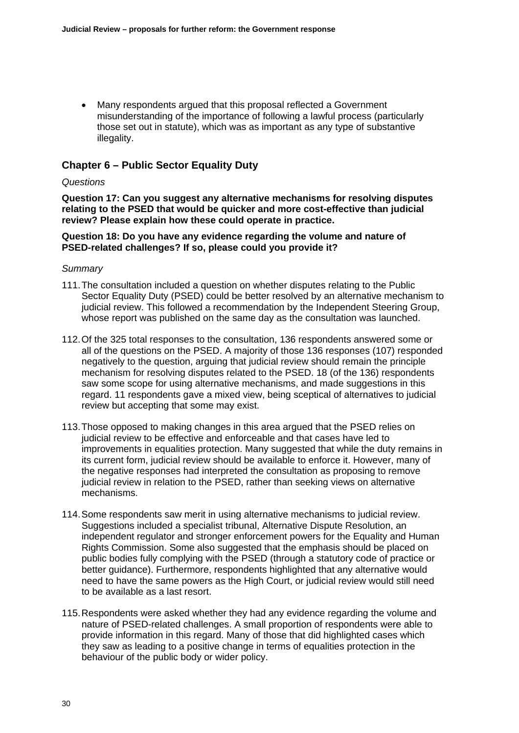Many respondents argued that this proposal reflected a Government misunderstanding of the importance of following a lawful process (particularly those set out in statute), which was as important as any type of substantive illegality.

### **Chapter 6 – Public Sector Equality Duty**

### *Questions*

**Question 17: Can you suggest any alternative mechanisms for resolving disputes relating to the PSED that would be quicker and more cost-effective than judicial review? Please explain how these could operate in practice.** 

### **Question 18: Do you have any evidence regarding the volume and nature of PSED-related challenges? If so, please could you provide it?**

- 111. The consultation included a question on whether disputes relating to the Public Sector Equality Duty (PSED) could be better resolved by an alternative mechanism to judicial review. This followed a recommendation by the Independent Steering Group, whose report was published on the same day as the consultation was launched.
- 112. Of the 325 total responses to the consultation, 136 respondents answered some or all of the questions on the PSED. A majority of those 136 responses (107) responded negatively to the question, arguing that judicial review should remain the principle mechanism for resolving disputes related to the PSED. 18 (of the 136) respondents saw some scope for using alternative mechanisms, and made suggestions in this regard. 11 respondents gave a mixed view, being sceptical of alternatives to judicial review but accepting that some may exist.
- 113. Those opposed to making changes in this area argued that the PSED relies on judicial review to be effective and enforceable and that cases have led to improvements in equalities protection. Many suggested that while the duty remains in its current form, judicial review should be available to enforce it. However, many of the negative responses had interpreted the consultation as proposing to remove judicial review in relation to the PSED, rather than seeking views on alternative mechanisms.
- 114. Some respondents saw merit in using alternative mechanisms to judicial review. Suggestions included a specialist tribunal, Alternative Dispute Resolution, an independent regulator and stronger enforcement powers for the Equality and Human Rights Commission. Some also suggested that the emphasis should be placed on public bodies fully complying with the PSED (through a statutory code of practice or better guidance). Furthermore, respondents highlighted that any alternative would need to have the same powers as the High Court, or judicial review would still need to be available as a last resort.
- 115. Respondents were asked whether they had any evidence regarding the volume and nature of PSED-related challenges. A small proportion of respondents were able to provide information in this regard. Many of those that did highlighted cases which they saw as leading to a positive change in terms of equalities protection in the behaviour of the public body or wider policy.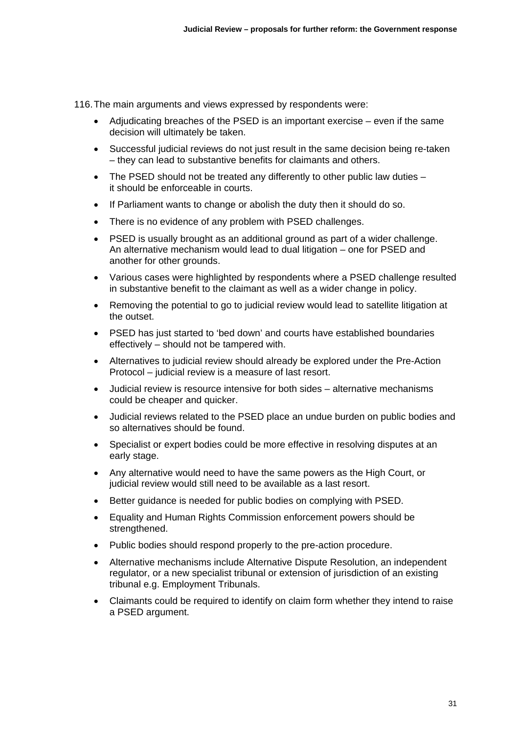116. The main arguments and views expressed by respondents were:

- Adjudicating breaches of the PSED is an important exercise even if the same decision will ultimately be taken.
- Successful judicial reviews do not just result in the same decision being re-taken – they can lead to substantive benefits for claimants and others.
- The PSED should not be treated any differently to other public law duties it should be enforceable in courts.
- If Parliament wants to change or abolish the duty then it should do so.
- There is no evidence of any problem with PSED challenges.
- PSED is usually brought as an additional ground as part of a wider challenge. An alternative mechanism would lead to dual litigation – one for PSED and another for other grounds.
- Various cases were highlighted by respondents where a PSED challenge resulted in substantive benefit to the claimant as well as a wider change in policy.
- Removing the potential to go to judicial review would lead to satellite litigation at the outset.
- PSED has just started to 'bed down' and courts have established boundaries effectively – should not be tampered with.
- Alternatives to judicial review should already be explored under the Pre-Action Protocol – judicial review is a measure of last resort.
- Judicial review is resource intensive for both sides alternative mechanisms could be cheaper and quicker.
- Judicial reviews related to the PSED place an undue burden on public bodies and so alternatives should be found.
- Specialist or expert bodies could be more effective in resolving disputes at an early stage.
- Any alternative would need to have the same powers as the High Court, or judicial review would still need to be available as a last resort.
- Better guidance is needed for public bodies on complying with PSED.
- Equality and Human Rights Commission enforcement powers should be strengthened.
- Public bodies should respond properly to the pre-action procedure.
- Alternative mechanisms include Alternative Dispute Resolution, an independent regulator, or a new specialist tribunal or extension of jurisdiction of an existing tribunal e.g. Employment Tribunals.
- Claimants could be required to identify on claim form whether they intend to raise a PSED argument.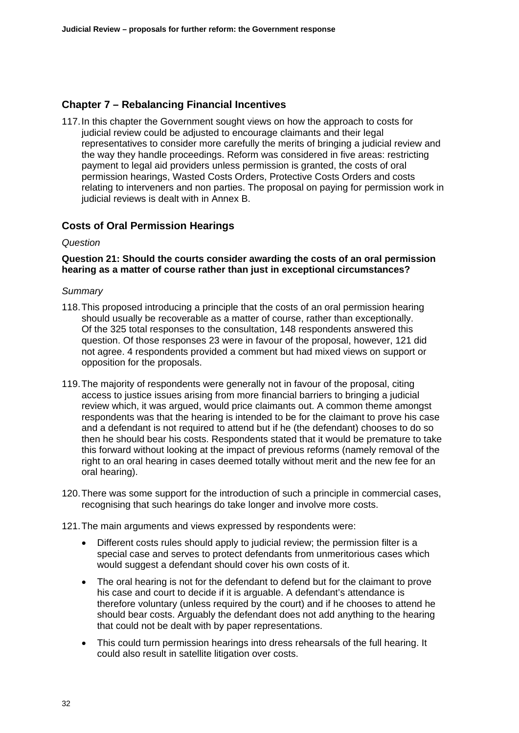## **Chapter 7 – Rebalancing Financial Incentives**

117. In this chapter the Government sought views on how the approach to costs for judicial review could be adjusted to encourage claimants and their legal representatives to consider more carefully the merits of bringing a judicial review and the way they handle proceedings. Reform was considered in five areas: restricting payment to legal aid providers unless permission is granted, the costs of oral permission hearings, Wasted Costs Orders, Protective Costs Orders and costs relating to interveners and non parties. The proposal on paying for permission work in judicial reviews is dealt with in Annex B.

## **Costs of Oral Permission Hearings**

### *Question*

### **Question 21: Should the courts consider awarding the costs of an oral permission hearing as a matter of course rather than just in exceptional circumstances?**

- 118. This proposed introducing a principle that the costs of an oral permission hearing should usually be recoverable as a matter of course, rather than exceptionally. Of the 325 total responses to the consultation, 148 respondents answered this question. Of those responses 23 were in favour of the proposal, however, 121 did not agree. 4 respondents provided a comment but had mixed views on support or opposition for the proposals.
- 119. The majority of respondents were generally not in favour of the proposal, citing access to justice issues arising from more financial barriers to bringing a judicial review which, it was argued, would price claimants out. A common theme amongst respondents was that the hearing is intended to be for the claimant to prove his case and a defendant is not required to attend but if he (the defendant) chooses to do so then he should bear his costs. Respondents stated that it would be premature to take this forward without looking at the impact of previous reforms (namely removal of the right to an oral hearing in cases deemed totally without merit and the new fee for an oral hearing).
- 120. There was some support for the introduction of such a principle in commercial cases, recognising that such hearings do take longer and involve more costs.
- 121. The main arguments and views expressed by respondents were:
	- Different costs rules should apply to judicial review; the permission filter is a special case and serves to protect defendants from unmeritorious cases which would suggest a defendant should cover his own costs of it.
	- The oral hearing is not for the defendant to defend but for the claimant to prove his case and court to decide if it is arguable. A defendant's attendance is therefore voluntary (unless required by the court) and if he chooses to attend he should bear costs. Arguably the defendant does not add anything to the hearing that could not be dealt with by paper representations.
	- This could turn permission hearings into dress rehearsals of the full hearing. It could also result in satellite litigation over costs.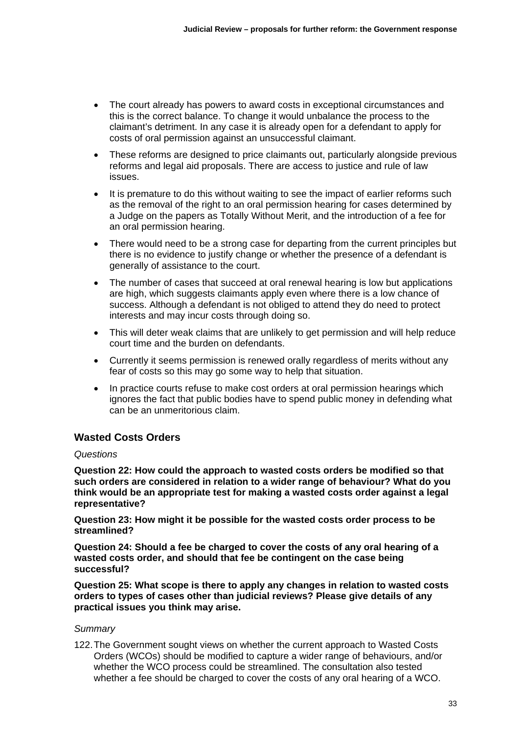- The court already has powers to award costs in exceptional circumstances and this is the correct balance. To change it would unbalance the process to the claimant's detriment. In any case it is already open for a defendant to apply for costs of oral permission against an unsuccessful claimant.
- These reforms are designed to price claimants out, particularly alongside previous reforms and legal aid proposals. There are access to justice and rule of law issues.
- It is premature to do this without waiting to see the impact of earlier reforms such as the removal of the right to an oral permission hearing for cases determined by a Judge on the papers as Totally Without Merit, and the introduction of a fee for an oral permission hearing.
- There would need to be a strong case for departing from the current principles but there is no evidence to justify change or whether the presence of a defendant is generally of assistance to the court.
- The number of cases that succeed at oral renewal hearing is low but applications are high, which suggests claimants apply even where there is a low chance of success. Although a defendant is not obliged to attend they do need to protect interests and may incur costs through doing so.
- This will deter weak claims that are unlikely to get permission and will help reduce court time and the burden on defendants.
- Currently it seems permission is renewed orally regardless of merits without any fear of costs so this may go some way to help that situation.
- In practice courts refuse to make cost orders at oral permission hearings which ignores the fact that public bodies have to spend public money in defending what can be an unmeritorious claim.

## **Wasted Costs Orders**

### *Questions*

**Question 22: How could the approach to wasted costs orders be modified so that such orders are considered in relation to a wider range of behaviour? What do you think would be an appropriate test for making a wasted costs order against a legal representative?** 

**Question 23: How might it be possible for the wasted costs order process to be streamlined?** 

**Question 24: Should a fee be charged to cover the costs of any oral hearing of a wasted costs order, and should that fee be contingent on the case being successful?** 

**Question 25: What scope is there to apply any changes in relation to wasted costs orders to types of cases other than judicial reviews? Please give details of any practical issues you think may arise.** 

### *Summary*

122. The Government sought views on whether the current approach to Wasted Costs Orders (WCOs) should be modified to capture a wider range of behaviours, and/or whether the WCO process could be streamlined. The consultation also tested whether a fee should be charged to cover the costs of any oral hearing of a WCO.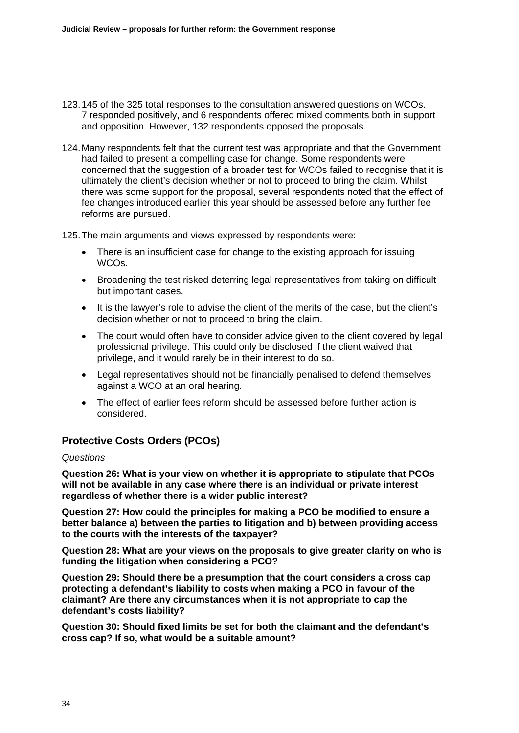- 123. 145 of the 325 total responses to the consultation answered questions on WCOs. 7 responded positively, and 6 respondents offered mixed comments both in support and opposition. However, 132 respondents opposed the proposals.
- 124. Many respondents felt that the current test was appropriate and that the Government had failed to present a compelling case for change. Some respondents were concerned that the suggestion of a broader test for WCOs failed to recognise that it is ultimately the client's decision whether or not to proceed to bring the claim. Whilst there was some support for the proposal, several respondents noted that the effect of fee changes introduced earlier this year should be assessed before any further fee reforms are pursued.

125. The main arguments and views expressed by respondents were:

- There is an insufficient case for change to the existing approach for issuing WCOs.
- Broadening the test risked deterring legal representatives from taking on difficult but important cases.
- It is the lawyer's role to advise the client of the merits of the case, but the client's decision whether or not to proceed to bring the claim.
- The court would often have to consider advice given to the client covered by legal professional privilege. This could only be disclosed if the client waived that privilege, and it would rarely be in their interest to do so.
- Legal representatives should not be financially penalised to defend themselves against a WCO at an oral hearing.
- The effect of earlier fees reform should be assessed before further action is considered.

## **Protective Costs Orders (PCOs)**

### *Questions*

**Question 26: What is your view on whether it is appropriate to stipulate that PCOs will not be available in any case where there is an individual or private interest regardless of whether there is a wider public interest?** 

**Question 27: How could the principles for making a PCO be modified to ensure a better balance a) between the parties to litigation and b) between providing access to the courts with the interests of the taxpayer?** 

**Question 28: What are your views on the proposals to give greater clarity on who is funding the litigation when considering a PCO?** 

**Question 29: Should there be a presumption that the court considers a cross cap protecting a defendant's liability to costs when making a PCO in favour of the claimant? Are there any circumstances when it is not appropriate to cap the defendant's costs liability?** 

**Question 30: Should fixed limits be set for both the claimant and the defendant's cross cap? If so, what would be a suitable amount?**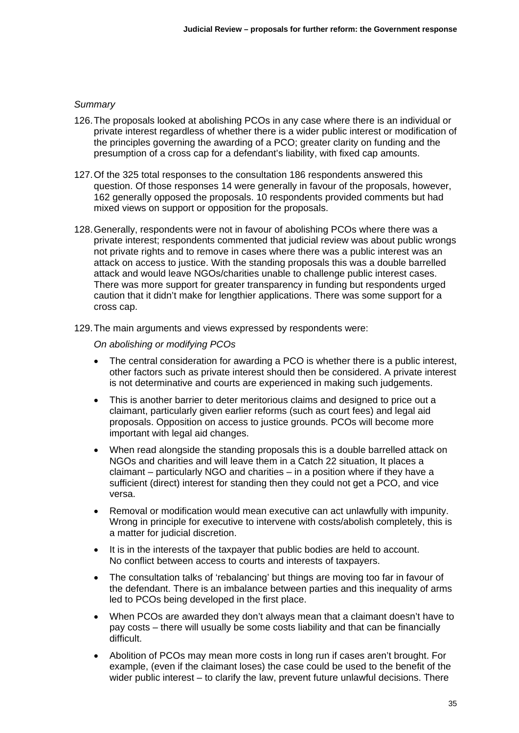### *Summary*

- 126. The proposals looked at abolishing PCOs in any case where there is an individual or private interest regardless of whether there is a wider public interest or modification of the principles governing the awarding of a PCO; greater clarity on funding and the presumption of a cross cap for a defendant's liability, with fixed cap amounts.
- 127. Of the 325 total responses to the consultation 186 respondents answered this question. Of those responses 14 were generally in favour of the proposals, however, 162 generally opposed the proposals. 10 respondents provided comments but had mixed views on support or opposition for the proposals.
- 128. Generally, respondents were not in favour of abolishing PCOs where there was a private interest; respondents commented that judicial review was about public wrongs not private rights and to remove in cases where there was a public interest was an attack on access to justice. With the standing proposals this was a double barrelled attack and would leave NGOs/charities unable to challenge public interest cases. There was more support for greater transparency in funding but respondents urged caution that it didn't make for lengthier applications. There was some support for a cross cap.
- 129. The main arguments and views expressed by respondents were:

*On abolishing or modifying PCOs* 

- The central consideration for awarding a PCO is whether there is a public interest, other factors such as private interest should then be considered. A private interest is not determinative and courts are experienced in making such judgements.
- This is another barrier to deter meritorious claims and designed to price out a claimant, particularly given earlier reforms (such as court fees) and legal aid proposals. Opposition on access to justice grounds. PCOs will become more important with legal aid changes.
- When read alongside the standing proposals this is a double barrelled attack on NGOs and charities and will leave them in a Catch 22 situation, It places a claimant – particularly NGO and charities – in a position where if they have a sufficient (direct) interest for standing then they could not get a PCO, and vice versa.
- Removal or modification would mean executive can act unlawfully with impunity. Wrong in principle for executive to intervene with costs/abolish completely, this is a matter for judicial discretion.
- It is in the interests of the taxpayer that public bodies are held to account. No conflict between access to courts and interests of taxpayers.
- The consultation talks of 'rebalancing' but things are moving too far in favour of the defendant. There is an imbalance between parties and this inequality of arms led to PCOs being developed in the first place.
- When PCOs are awarded they don't always mean that a claimant doesn't have to pay costs – there will usually be some costs liability and that can be financially difficult.
- Abolition of PCOs may mean more costs in long run if cases aren't brought. For example, (even if the claimant loses) the case could be used to the benefit of the wider public interest – to clarify the law, prevent future unlawful decisions. There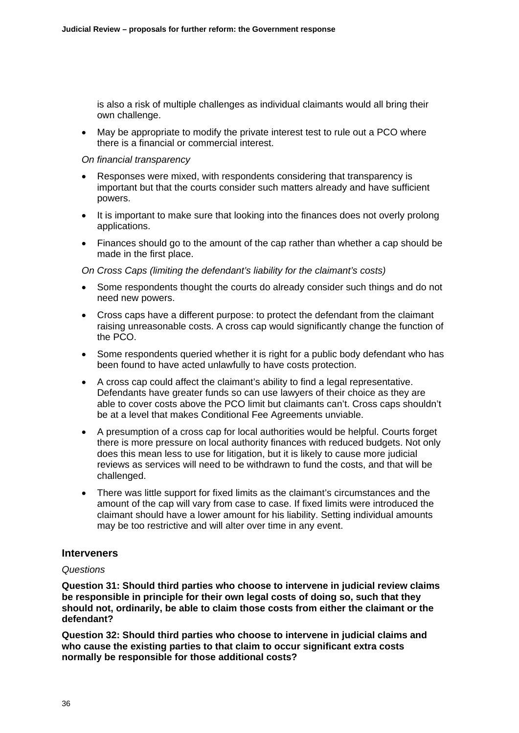is also a risk of multiple challenges as individual claimants would all bring their own challenge.

 May be appropriate to modify the private interest test to rule out a PCO where there is a financial or commercial interest.

#### *On financial transparency*

- Responses were mixed, with respondents considering that transparency is important but that the courts consider such matters already and have sufficient powers.
- It is important to make sure that looking into the finances does not overly prolong applications.
- Finances should go to the amount of the cap rather than whether a cap should be made in the first place.

*On Cross Caps (limiting the defendant's liability for the claimant's costs)* 

- Some respondents thought the courts do already consider such things and do not need new powers.
- Cross caps have a different purpose: to protect the defendant from the claimant raising unreasonable costs. A cross cap would significantly change the function of the PCO.
- Some respondents queried whether it is right for a public body defendant who has been found to have acted unlawfully to have costs protection.
- A cross cap could affect the claimant's ability to find a legal representative. Defendants have greater funds so can use lawyers of their choice as they are able to cover costs above the PCO limit but claimants can't. Cross caps shouldn't be at a level that makes Conditional Fee Agreements unviable.
- A presumption of a cross cap for local authorities would be helpful. Courts forget there is more pressure on local authority finances with reduced budgets. Not only does this mean less to use for litigation, but it is likely to cause more judicial reviews as services will need to be withdrawn to fund the costs, and that will be challenged.
- There was little support for fixed limits as the claimant's circumstances and the amount of the cap will vary from case to case. If fixed limits were introduced the claimant should have a lower amount for his liability. Setting individual amounts may be too restrictive and will alter over time in any event.

### **Interveners**

### *Questions*

**Question 31: Should third parties who choose to intervene in judicial review claims be responsible in principle for their own legal costs of doing so, such that they should not, ordinarily, be able to claim those costs from either the claimant or the defendant?** 

**Question 32: Should third parties who choose to intervene in judicial claims and who cause the existing parties to that claim to occur significant extra costs normally be responsible for those additional costs?**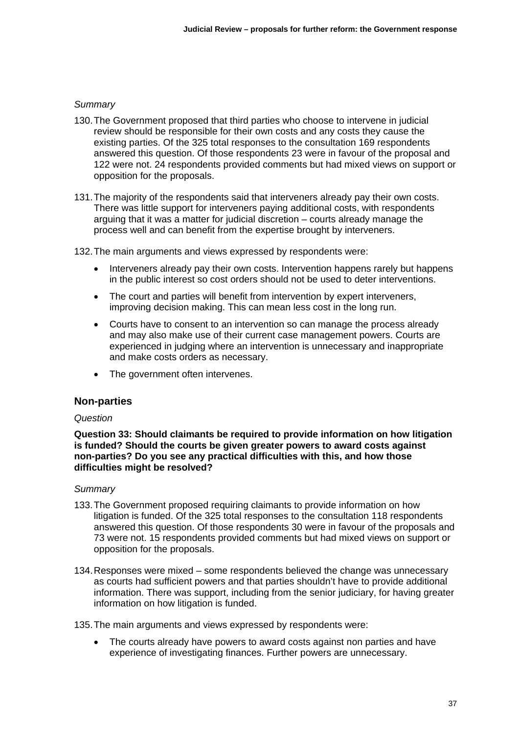### *Summary*

- 130. The Government proposed that third parties who choose to intervene in judicial review should be responsible for their own costs and any costs they cause the existing parties. Of the 325 total responses to the consultation 169 respondents answered this question. Of those respondents 23 were in favour of the proposal and 122 were not. 24 respondents provided comments but had mixed views on support or opposition for the proposals.
- 131. The majority of the respondents said that interveners already pay their own costs. There was little support for interveners paying additional costs, with respondents arguing that it was a matter for judicial discretion – courts already manage the process well and can benefit from the expertise brought by interveners.

132. The main arguments and views expressed by respondents were:

- Interveners already pay their own costs. Intervention happens rarely but happens in the public interest so cost orders should not be used to deter interventions.
- The court and parties will benefit from intervention by expert interveners, improving decision making. This can mean less cost in the long run.
- Courts have to consent to an intervention so can manage the process already and may also make use of their current case management powers. Courts are experienced in judging where an intervention is unnecessary and inappropriate and make costs orders as necessary.
- The government often intervenes.

### **Non-parties**

### *Question*

**Question 33: Should claimants be required to provide information on how litigation is funded? Should the courts be given greater powers to award costs against non-parties? Do you see any practical difficulties with this, and how those difficulties might be resolved?** 

### *Summary*

- 133. The Government proposed requiring claimants to provide information on how litigation is funded. Of the 325 total responses to the consultation 118 respondents answered this question. Of those respondents 30 were in favour of the proposals and 73 were not. 15 respondents provided comments but had mixed views on support or opposition for the proposals.
- 134. Responses were mixed some respondents believed the change was unnecessary as courts had sufficient powers and that parties shouldn't have to provide additional information. There was support, including from the senior judiciary, for having greater information on how litigation is funded.

135. The main arguments and views expressed by respondents were:

 The courts already have powers to award costs against non parties and have experience of investigating finances. Further powers are unnecessary.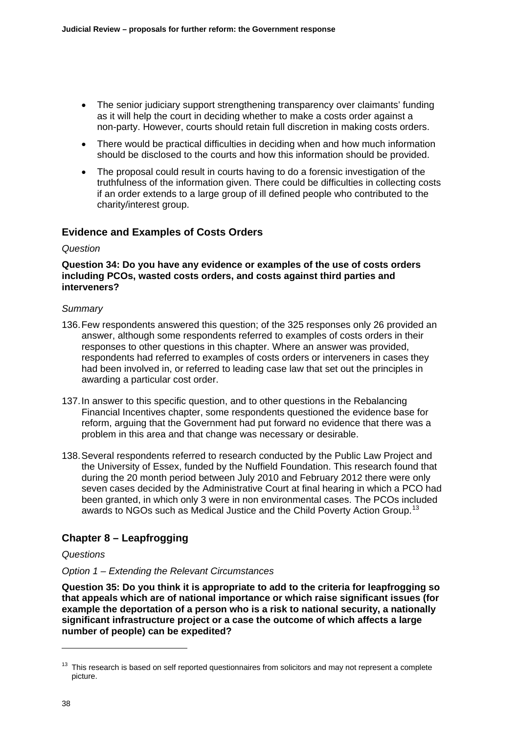- The senior judiciary support strengthening transparency over claimants' funding as it will help the court in deciding whether to make a costs order against a non-party. However, courts should retain full discretion in making costs orders.
- There would be practical difficulties in deciding when and how much information should be disclosed to the courts and how this information should be provided.
- The proposal could result in courts having to do a forensic investigation of the truthfulness of the information given. There could be difficulties in collecting costs if an order extends to a large group of ill defined people who contributed to the charity/interest group.

### **Evidence and Examples of Costs Orders**

### *Question*

### **Question 34: Do you have any evidence or examples of the use of costs orders including PCOs, wasted costs orders, and costs against third parties and interveners?**

### *Summary*

- 136. Few respondents answered this question; of the 325 responses only 26 provided an answer, although some respondents referred to examples of costs orders in their responses to other questions in this chapter. Where an answer was provided, respondents had referred to examples of costs orders or interveners in cases they had been involved in, or referred to leading case law that set out the principles in awarding a particular cost order.
- 137. In answer to this specific question, and to other questions in the Rebalancing Financial Incentives chapter, some respondents questioned the evidence base for reform, arguing that the Government had put forward no evidence that there was a problem in this area and that change was necessary or desirable.
- 138. Several respondents referred to research conducted by the Public Law Project and the University of Essex, funded by the Nuffield Foundation. This research found that during the 20 month period between July 2010 and February 2012 there were only seven cases decided by the Administrative Court at final hearing in which a PCO had been granted, in which only 3 were in non environmental cases. The PCOs included awards to NGOs such as Medical Justice and the Child Poverty Action Group.<sup>[13](#page-17-0)</sup>

## **Chapter 8 – Leapfrogging**

### *Questions*

### *Option 1 – Extending the Relevant Circumstances*

**Question 35: Do you think it is appropriate to add to the criteria for leapfrogging so that appeals which are of national importance or which raise significant issues (for example the deportation of a person who is a risk to national security, a nationally significant infrastructure project or a case the outcome of which affects a large number of people) can be expedited?** 

-

<span id="page-17-0"></span> $13$  This research is based on self reported questionnaires from solicitors and may not represent a complete picture.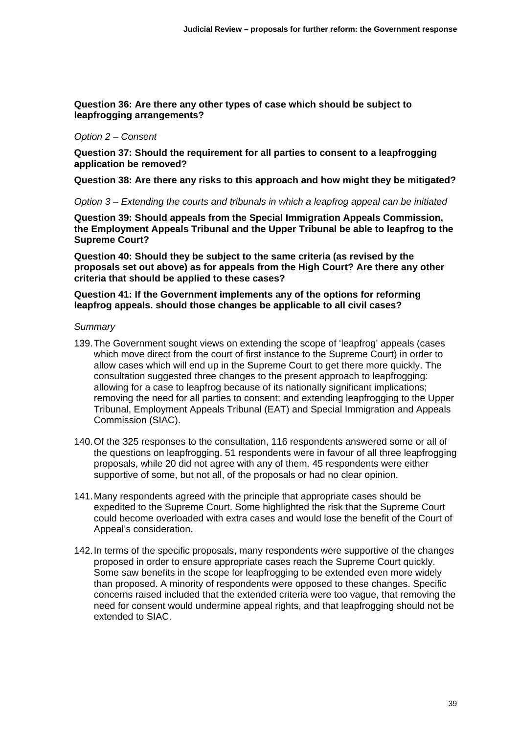### **Question 36: Are there any other types of case which should be subject to leapfrogging arrangements?**

#### *Option 2 – Consent*

**Question 37: Should the requirement for all parties to consent to a leapfrogging application be removed?** 

**Question 38: Are there any risks to this approach and how might they be mitigated?** 

*Option 3 – Extending the courts and tribunals in which a leapfrog appeal can be initiated* 

**Question 39: Should appeals from the Special Immigration Appeals Commission, the Employment Appeals Tribunal and the Upper Tribunal be able to leapfrog to the Supreme Court?** 

**Question 40: Should they be subject to the same criteria (as revised by the proposals set out above) as for appeals from the High Court? Are there any other criteria that should be applied to these cases?** 

### **Question 41: If the Government implements any of the options for reforming leapfrog appeals. should those changes be applicable to all civil cases?**

- 139. The Government sought views on extending the scope of 'leapfrog' appeals (cases which move direct from the court of first instance to the Supreme Court) in order to allow cases which will end up in the Supreme Court to get there more quickly. The consultation suggested three changes to the present approach to leapfrogging: allowing for a case to leapfrog because of its nationally significant implications; removing the need for all parties to consent; and extending leapfrogging to the Upper Tribunal, Employment Appeals Tribunal (EAT) and Special Immigration and Appeals Commission (SIAC).
- 140. Of the 325 responses to the consultation, 116 respondents answered some or all of the questions on leapfrogging. 51 respondents were in favour of all three leapfrogging proposals, while 20 did not agree with any of them. 45 respondents were either supportive of some, but not all, of the proposals or had no clear opinion.
- 141. Many respondents agreed with the principle that appropriate cases should be expedited to the Supreme Court. Some highlighted the risk that the Supreme Court could become overloaded with extra cases and would lose the benefit of the Court of Appeal's consideration.
- 142. In terms of the specific proposals, many respondents were supportive of the changes proposed in order to ensure appropriate cases reach the Supreme Court quickly. Some saw benefits in the scope for leapfrogging to be extended even more widely than proposed. A minority of respondents were opposed to these changes. Specific concerns raised included that the extended criteria were too vague, that removing the need for consent would undermine appeal rights, and that leapfrogging should not be extended to SIAC.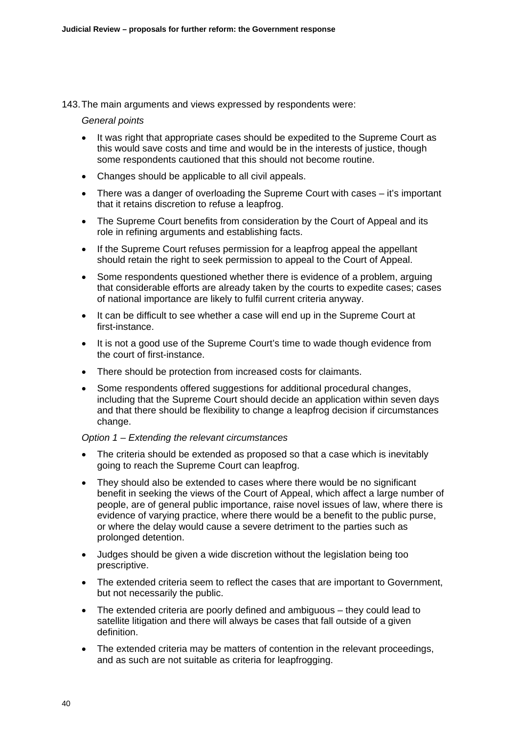#### 143. The main arguments and views expressed by respondents were:

#### *General points*

- It was right that appropriate cases should be expedited to the Supreme Court as this would save costs and time and would be in the interests of justice, though some respondents cautioned that this should not become routine.
- Changes should be applicable to all civil appeals.
- There was a danger of overloading the Supreme Court with cases it's important that it retains discretion to refuse a leapfrog.
- The Supreme Court benefits from consideration by the Court of Appeal and its role in refining arguments and establishing facts.
- If the Supreme Court refuses permission for a leapfrog appeal the appellant should retain the right to seek permission to appeal to the Court of Appeal.
- Some respondents questioned whether there is evidence of a problem, arguing that considerable efforts are already taken by the courts to expedite cases; cases of national importance are likely to fulfil current criteria anyway.
- It can be difficult to see whether a case will end up in the Supreme Court at first-instance.
- It is not a good use of the Supreme Court's time to wade though evidence from the court of first-instance.
- There should be protection from increased costs for claimants.
- Some respondents offered suggestions for additional procedural changes, including that the Supreme Court should decide an application within seven days and that there should be flexibility to change a leapfrog decision if circumstances change.

### *Option 1 – Extending the relevant circumstances*

- The criteria should be extended as proposed so that a case which is inevitably going to reach the Supreme Court can leapfrog.
- They should also be extended to cases where there would be no significant benefit in seeking the views of the Court of Appeal, which affect a large number of people, are of general public importance, raise novel issues of law, where there is evidence of varying practice, where there would be a benefit to the public purse, or where the delay would cause a severe detriment to the parties such as prolonged detention.
- Judges should be given a wide discretion without the legislation being too prescriptive.
- The extended criteria seem to reflect the cases that are important to Government, but not necessarily the public.
- The extended criteria are poorly defined and ambiguous they could lead to satellite litigation and there will always be cases that fall outside of a given definition.
- The extended criteria may be matters of contention in the relevant proceedings, and as such are not suitable as criteria for leapfrogging.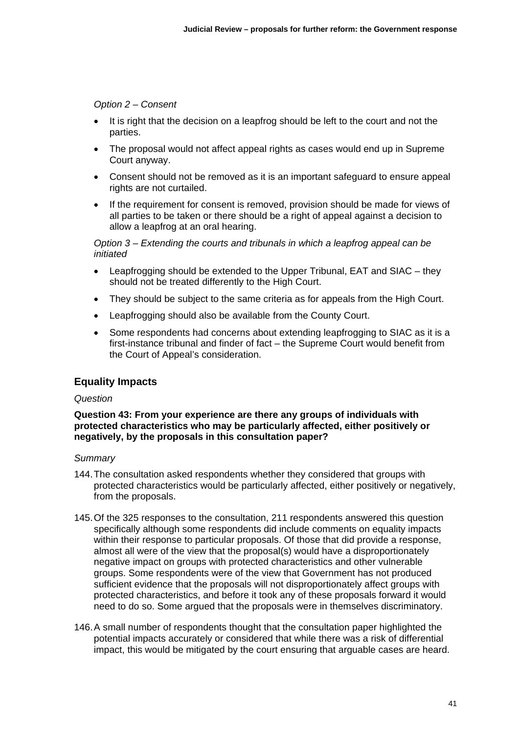### *Option 2 – Consent*

- It is right that the decision on a leapfrog should be left to the court and not the parties.
- The proposal would not affect appeal rights as cases would end up in Supreme Court anyway.
- Consent should not be removed as it is an important safeguard to ensure appeal rights are not curtailed.
- If the requirement for consent is removed, provision should be made for views of all parties to be taken or there should be a right of appeal against a decision to allow a leapfrog at an oral hearing.

*Option 3 – Extending the courts and tribunals in which a leapfrog appeal can be initiated* 

- Leapfrogging should be extended to the Upper Tribunal, EAT and SIAC they should not be treated differently to the High Court.
- They should be subject to the same criteria as for appeals from the High Court.
- Leapfrogging should also be available from the County Court.
- Some respondents had concerns about extending leapfrogging to SIAC as it is a first-instance tribunal and finder of fact – the Supreme Court would benefit from the Court of Appeal's consideration.

### **Equality Impacts**

### *Question*

### **Question 43: From your experience are there any groups of individuals with protected characteristics who may be particularly affected, either positively or negatively, by the proposals in this consultation paper?**

- 144. The consultation asked respondents whether they considered that groups with protected characteristics would be particularly affected, either positively or negatively, from the proposals.
- 145. Of the 325 responses to the consultation, 211 respondents answered this question specifically although some respondents did include comments on equality impacts within their response to particular proposals. Of those that did provide a response, almost all were of the view that the proposal(s) would have a disproportionately negative impact on groups with protected characteristics and other vulnerable groups. Some respondents were of the view that Government has not produced sufficient evidence that the proposals will not disproportionately affect groups with protected characteristics, and before it took any of these proposals forward it would need to do so. Some argued that the proposals were in themselves discriminatory.
- 146. A small number of respondents thought that the consultation paper highlighted the potential impacts accurately or considered that while there was a risk of differential impact, this would be mitigated by the court ensuring that arguable cases are heard.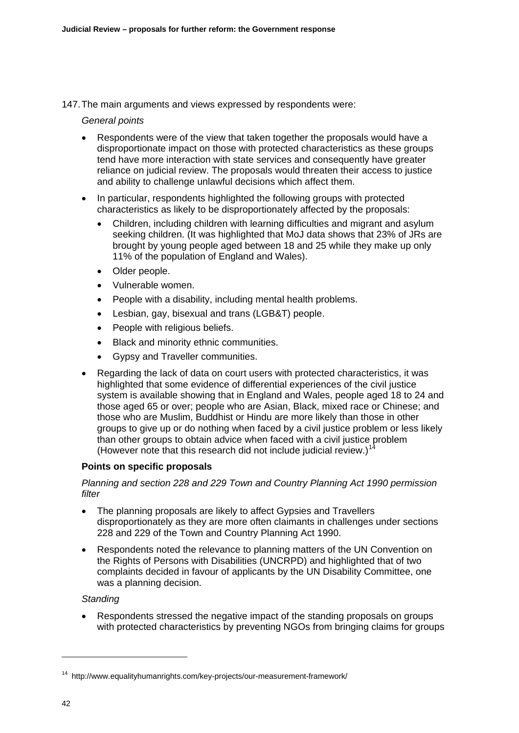### 147. The main arguments and views expressed by respondents were:

### *General points*

- Respondents were of the view that taken together the proposals would have a disproportionate impact on those with protected characteristics as these groups tend have more interaction with state services and consequently have greater reliance on judicial review. The proposals would threaten their access to justice and ability to challenge unlawful decisions which affect them.
- In particular, respondents highlighted the following groups with protected characteristics as likely to be disproportionately affected by the proposals:
	- Children, including children with learning difficulties and migrant and asylum seeking children. (It was highlighted that MoJ data shows that 23% of JRs are brought by young people aged between 18 and 25 while they make up only 11% of the population of England and Wales).
	- Older people.
	- Vulnerable women.
	- People with a disability, including mental health problems.
	- Lesbian, gay, bisexual and trans (LGB&T) people.
	- People with religious beliefs.
	- Black and minority ethnic communities.
	- Gypsy and Traveller communities.
- Regarding the lack of data on court users with protected characteristics, it was highlighted that some evidence of differential experiences of the civil justice system is available showing that in England and Wales, people aged 18 to 24 and those aged 65 or over; people who are Asian, Black, mixed race or Chinese; and those who are Muslim, Buddhist or Hindu are more likely than those in other groups to give up or do nothing when faced by a civil justice problem or less likely than other groups to obtain advice when faced with a civil justice problem (However note that this research did not include judicial review.)<sup>[14](#page-21-0)</sup>

### **Points on specific proposals**

### *Planning and section 228 and 229 Town and Country Planning Act 1990 permission filter*

- The planning proposals are likely to affect Gypsies and Travellers disproportionately as they are more often claimants in challenges under sections 228 and 229 of the Town and Country Planning Act 1990.
- Respondents noted the relevance to planning matters of the UN Convention on the Rights of Persons with Disabilities (UNCRPD) and highlighted that of two complaints decided in favour of applicants by the UN Disability Committee, one was a planning decision.

### *Standing*

 Respondents stressed the negative impact of the standing proposals on groups with protected characteristics by preventing NGOs from bringing claims for groups

-

<span id="page-21-0"></span><sup>14</sup> <http://www.equalityhumanrights.com/key-projects/our-measurement-framework/>